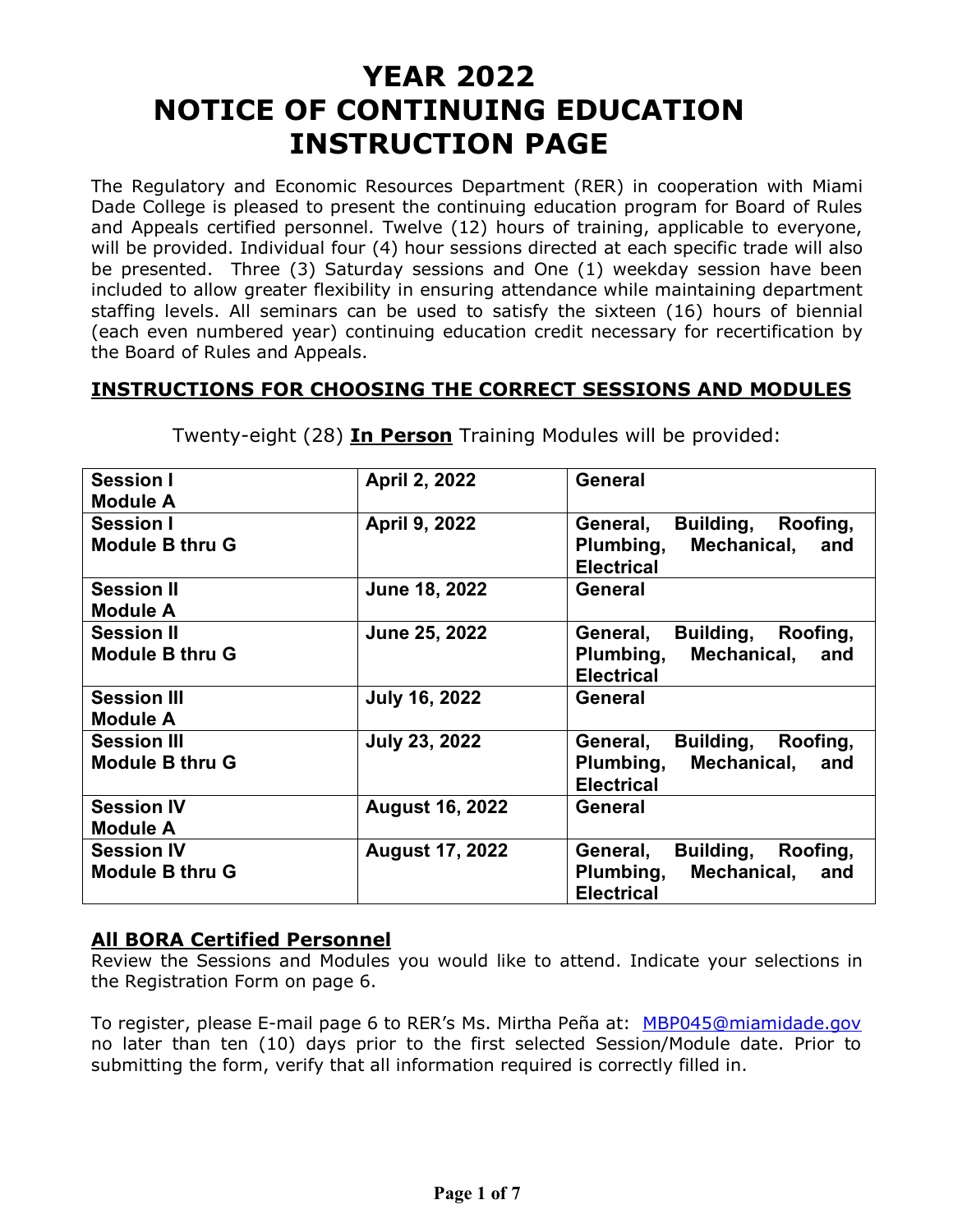## **YEAR 2022 NOTICE OF CONTINUING EDUCATION INSTRUCTION PAGE**

The Regulatory and Economic Resources Department (RER) in cooperation with Miami Dade College is pleased to present the continuing education program for Board of Rules and Appeals certified personnel. Twelve (12) hours of training, applicable to everyone, will be provided. Individual four (4) hour sessions directed at each specific trade will also be presented. Three (3) Saturday sessions and One (1) weekday session have been included to allow greater flexibility in ensuring attendance while maintaining department staffing levels. All seminars can be used to satisfy the sixteen (16) hours of biennial (each even numbered year) continuing education credit necessary for recertification by the Board of Rules and Appeals.

### **INSTRUCTIONS FOR CHOOSING THE CORRECT SESSIONS AND MODULES**

| <b>Session I</b>       | April 2, 2022          | General                        |
|------------------------|------------------------|--------------------------------|
| <b>Module A</b>        |                        |                                |
| <b>Session I</b>       | April 9, 2022          | Building, Roofing,<br>General, |
| <b>Module B thru G</b> |                        | Plumbing, Mechanical, and      |
|                        |                        | <b>Electrical</b>              |
| <b>Session II</b>      | June 18, 2022          | General                        |
| <b>Module A</b>        |                        |                                |
| <b>Session II</b>      | <b>June 25, 2022</b>   | Building, Roofing,<br>General, |
| <b>Module B thru G</b> |                        | Plumbing, Mechanical, and      |
|                        |                        | <b>Electrical</b>              |
| <b>Session III</b>     | <b>July 16, 2022</b>   | General                        |
| <b>Module A</b>        |                        |                                |
| <b>Session III</b>     | <b>July 23, 2022</b>   | General,<br>Building, Roofing, |
| <b>Module B thru G</b> |                        | Plumbing, Mechanical, and      |
|                        |                        | <b>Electrical</b>              |
| <b>Session IV</b>      | <b>August 16, 2022</b> | General                        |
| <b>Module A</b>        |                        |                                |
| <b>Session IV</b>      | <b>August 17, 2022</b> | General,<br>Building, Roofing, |
| <b>Module B thru G</b> |                        | Plumbing, Mechanical, and      |
|                        |                        | <b>Electrical</b>              |
|                        |                        |                                |

Twenty-eight (28) **In Person** Training Modules will be provided:

### **All BORA Certified Personnel**

Review the Sessions and Modules you would like to attend. Indicate your selections in the Registration Form on page 6.

To register, please E-mail page 6 to RER's Ms. Mirtha Peña at: [MBP045@miamidade.gov](mailto:MBP045@miamidade.gov) no later than ten (10) days prior to the first selected Session/Module date. Prior to submitting the form, verify that all information required is correctly filled in.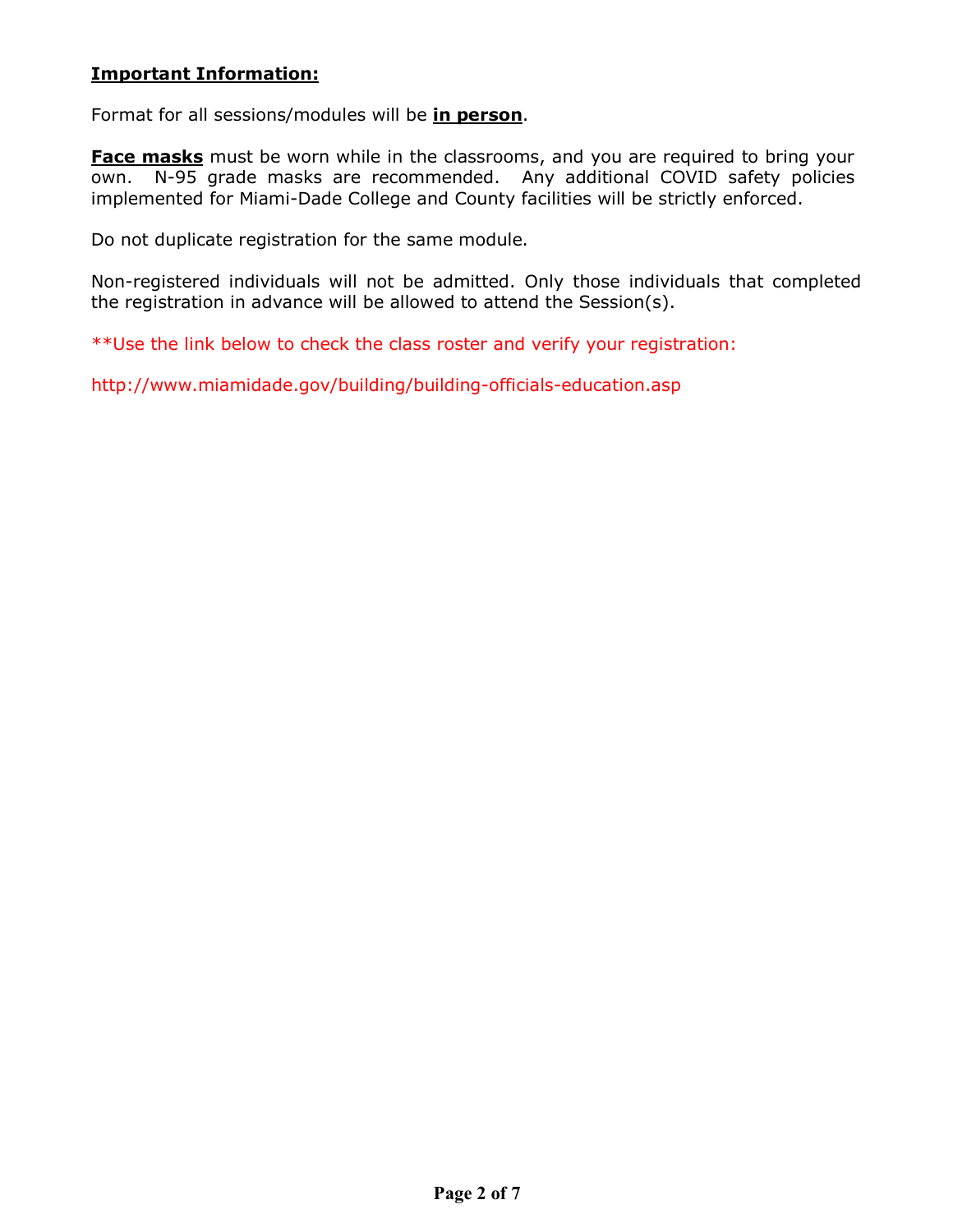#### **Important Information:**

Format for all sessions/modules will be **in person**.

**Face masks** must be worn while in the classrooms, and you are required to bring your own. N-95 grade masks are recommended. Any additional COVID safety policies implemented for Miami-Dade College and County facilities will be strictly enforced.

Do not duplicate registration for the same module.

Non-registered individuals will not be admitted. Only those individuals that completed the registration in advance will be allowed to attend the Session(s).

\*\*Use the link below to check the class roster and verify your registration:

<http://www.miamidade.gov/building/building-officials-education.asp>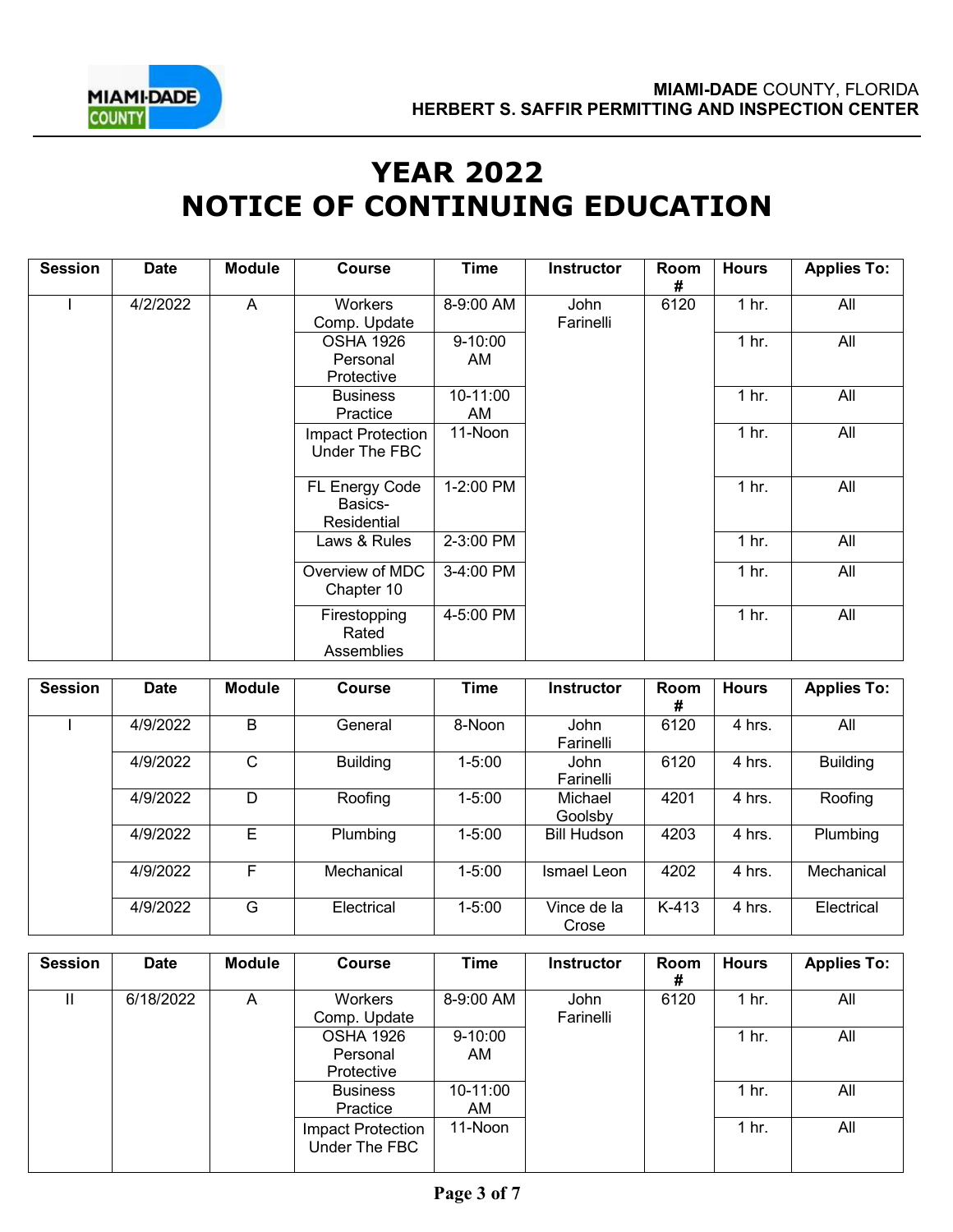

# **YEAR 2022 NOTICE OF CONTINUING EDUCATION**

| <b>Session</b> | <b>Date</b> | <b>Module</b> | <b>Course</b>                              | <b>Time</b>        | <b>Instructor</b> | Room<br># | <b>Hours</b>     | <b>Applies To:</b> |
|----------------|-------------|---------------|--------------------------------------------|--------------------|-------------------|-----------|------------------|--------------------|
|                | 4/2/2022    | A             | <b>Workers</b><br>Comp. Update             | 8-9:00 AM          | John<br>Farinelli | 6120      | 1 <sub>hr.</sub> | All                |
|                |             |               | <b>OSHA 1926</b><br>Personal<br>Protective | $9 - 10:00$<br>AM. |                   |           | 1 <sub>hr.</sub> | All                |
|                |             |               | <b>Business</b><br>Practice                | 10-11:00<br>AM     |                   |           | 1 <sub>hr.</sub> | All                |
|                |             |               | Impact Protection<br>Under The FBC         | 11-Noon            |                   |           | 1 <sub>hr.</sub> | All                |
|                |             |               | FL Energy Code<br>Basics-<br>Residential   | 1-2:00 PM          |                   |           | 1 <sub>hr.</sub> | All                |
|                |             |               | Laws & Rules                               | 2-3:00 PM          |                   |           | 1 <sub>hr.</sub> | All                |
|                |             |               | Overview of MDC<br>Chapter 10              | 3-4:00 PM          |                   |           | 1 <sub>hr.</sub> | All                |
|                |             |               | Firestopping<br>Rated<br>Assemblies        | 4-5:00 PM          |                   |           | 1 <sub>hr.</sub> | All                |

| <b>Session</b> | <b>Date</b> | <b>Module</b> | Course          | <b>Time</b> | <b>Instructor</b>        | <b>Room</b><br># | <b>Hours</b> | <b>Applies To:</b> |
|----------------|-------------|---------------|-----------------|-------------|--------------------------|------------------|--------------|--------------------|
|                | 4/9/2022    | B             | General         | 8-Noon      | <b>John</b><br>Farinelli | 6120             | 4 hrs.       | All                |
|                | 4/9/2022    | С             | <b>Building</b> | $1 - 5:00$  | <b>John</b><br>Farinelli | 6120             | 4 hrs.       | <b>Building</b>    |
|                | 4/9/2022    | D             | Roofing         | $1 - 5:00$  | Michael<br>Goolsby       | 4201             | 4 hrs.       | Roofing            |
|                | 4/9/2022    | Е             | Plumbing        | $1 - 5:00$  | <b>Bill Hudson</b>       | 4203             | 4 hrs.       | Plumbing           |
|                | 4/9/2022    | F             | Mechanical      | $1 - 5:00$  | Ismael Leon              | 4202             | 4 hrs.       | Mechanical         |
|                | 4/9/2022    | G             | Electrical      | $1 - 5:00$  | Vince de la<br>Crose     | K-413            | 4 hrs.       | Electrical         |

| <b>Session</b> | <b>Date</b> | Module | <b>Course</b>                              | Time               | <b>Instructor</b> | Room<br># | <b>Hours</b>     | <b>Applies To:</b> |
|----------------|-------------|--------|--------------------------------------------|--------------------|-------------------|-----------|------------------|--------------------|
| н              | 6/18/2022   | A      | <b>Workers</b><br>Comp. Update             | 8-9:00 AM          | John<br>Farinelli | 6120      | 1 <sub>hr.</sub> | All                |
|                |             |        | <b>OSHA 1926</b><br>Personal<br>Protective | $9 - 10:00$<br>AM. |                   |           | 1 <sub>hr.</sub> | All                |
|                |             |        | <b>Business</b><br>Practice                | 10-11:00<br>AM.    |                   |           | 1 hr.            | All                |
|                |             |        | Impact Protection<br>Under The FBC         | 11-Noon            |                   |           | 1 <sub>hr.</sub> | All                |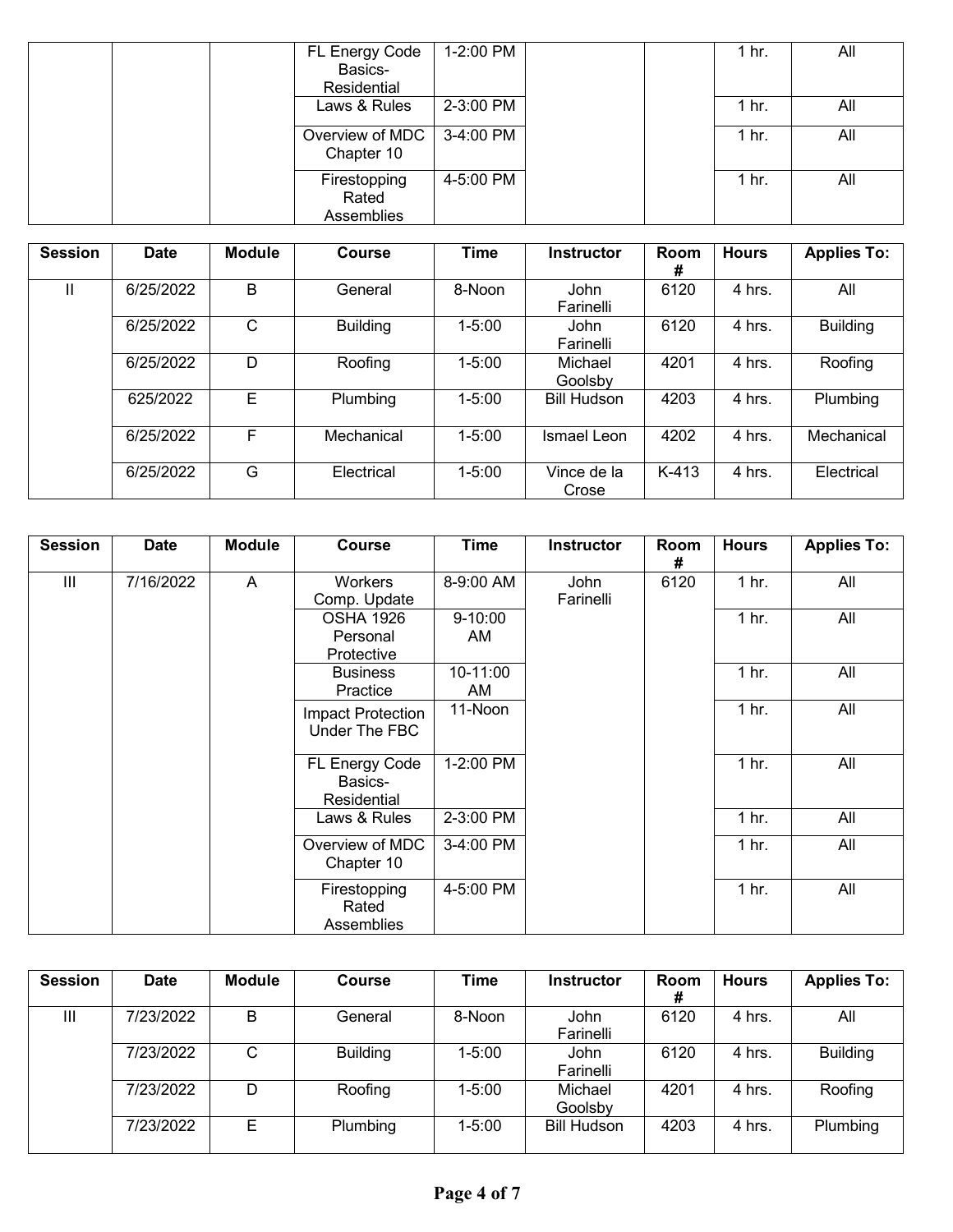| FL Energy Code                  | 1-2:00 PM |  | 1 hr.            | All |
|---------------------------------|-----------|--|------------------|-----|
| Basics-                         |           |  |                  |     |
| Residential                     |           |  |                  |     |
| Laws & Rules                    | 2-3:00 PM |  | 1 hr.            | All |
| Overview of MDC  <br>Chapter 10 | 3-4:00 PM |  | 1 <sub>hr.</sub> | All |
| Firestopping<br>Rated           | 4-5:00 PM |  | 1 hr.            | All |
| Assemblies                      |           |  |                  |     |

| <b>Session</b> | <b>Date</b> | <b>Module</b> | Course          | <b>Time</b> | <b>Instructor</b>    | Room<br># | <b>Hours</b> | <b>Applies To:</b> |
|----------------|-------------|---------------|-----------------|-------------|----------------------|-----------|--------------|--------------------|
|                | 6/25/2022   | B             | General         | 8-Noon      | John<br>Farinelli    | 6120      | 4 hrs.       | All                |
|                | 6/25/2022   | C             | <b>Building</b> | $1 - 5:00$  | John<br>Farinelli    | 6120      | 4 hrs.       | <b>Building</b>    |
|                | 6/25/2022   | D             | Roofing         | $1 - 5:00$  | Michael<br>Goolsby   | 4201      | 4 hrs.       | Roofing            |
|                | 625/2022    | E             | Plumbing        | $1 - 5:00$  | <b>Bill Hudson</b>   | 4203      | 4 hrs.       | Plumbing           |
|                | 6/25/2022   | F             | Mechanical      | $1 - 5:00$  | Ismael Leon          | 4202      | 4 hrs.       | Mechanical         |
|                | 6/25/2022   | G             | Electrical      | $1 - 5:00$  | Vince de la<br>Crose | $K-413$   | 4 hrs.       | Electrical         |

| <b>Session</b> | <b>Date</b> | <b>Module</b> | <b>Course</b>                              | <b>Time</b>       | <b>Instructor</b> | Room<br>#        | <b>Hours</b>     | <b>Applies To:</b> |
|----------------|-------------|---------------|--------------------------------------------|-------------------|-------------------|------------------|------------------|--------------------|
| Ш              | 7/16/2022   | A             | Workers<br>Comp. Update                    | 8-9:00 AM         | John<br>Farinelli | 6120             | 1 <sub>hr.</sub> | All                |
|                |             |               | <b>OSHA 1926</b><br>Personal<br>Protective | $9 - 10:00$<br>AM |                   |                  | 1 <sub>hr.</sub> | All                |
|                |             |               | <b>Business</b><br>Practice                | 10-11:00<br>AM    |                   |                  | 1 <sub>hr.</sub> | All                |
|                |             |               | Impact Protection<br>Under The FBC         | 11-Noon           |                   |                  | 1 <sub>hr.</sub> | All                |
|                |             |               | FL Energy Code<br>Basics-<br>Residential   | 1-2:00 PM         |                   |                  | 1 <sub>hr.</sub> | All                |
|                |             | Laws & Rules  | 2-3:00 PM                                  |                   |                   | 1 <sub>hr.</sub> | All              |                    |
|                |             |               | Overview of MDC<br>Chapter 10              | 3-4:00 PM         |                   |                  | 1 <sub>hr.</sub> | All                |
|                |             |               | Firestopping<br>Rated<br>Assemblies        | 4-5:00 PM         |                   |                  | 1 <sub>hr.</sub> | All                |

| <b>Session</b> | <b>Date</b> | <b>Module</b> | Course          | <b>Time</b> | <b>Instructor</b>  | Room<br># | <b>Hours</b> | <b>Applies To:</b> |
|----------------|-------------|---------------|-----------------|-------------|--------------------|-----------|--------------|--------------------|
| Ш              | 7/23/2022   | B             | General         | 8-Noon      | John<br>Farinelli  | 6120      | 4 hrs.       | All                |
|                | 7/23/2022   | С             | <b>Building</b> | $1 - 5:00$  | John<br>Farinelli  | 6120      | 4 hrs.       | <b>Building</b>    |
|                | 7/23/2022   | D             | Roofing         | $1 - 5:00$  | Michael<br>Goolsby | 4201      | 4 hrs.       | Roofing            |
|                | 7/23/2022   | Е             | Plumbing        | $1 - 5:00$  | <b>Bill Hudson</b> | 4203      | 4 hrs.       | Plumbing           |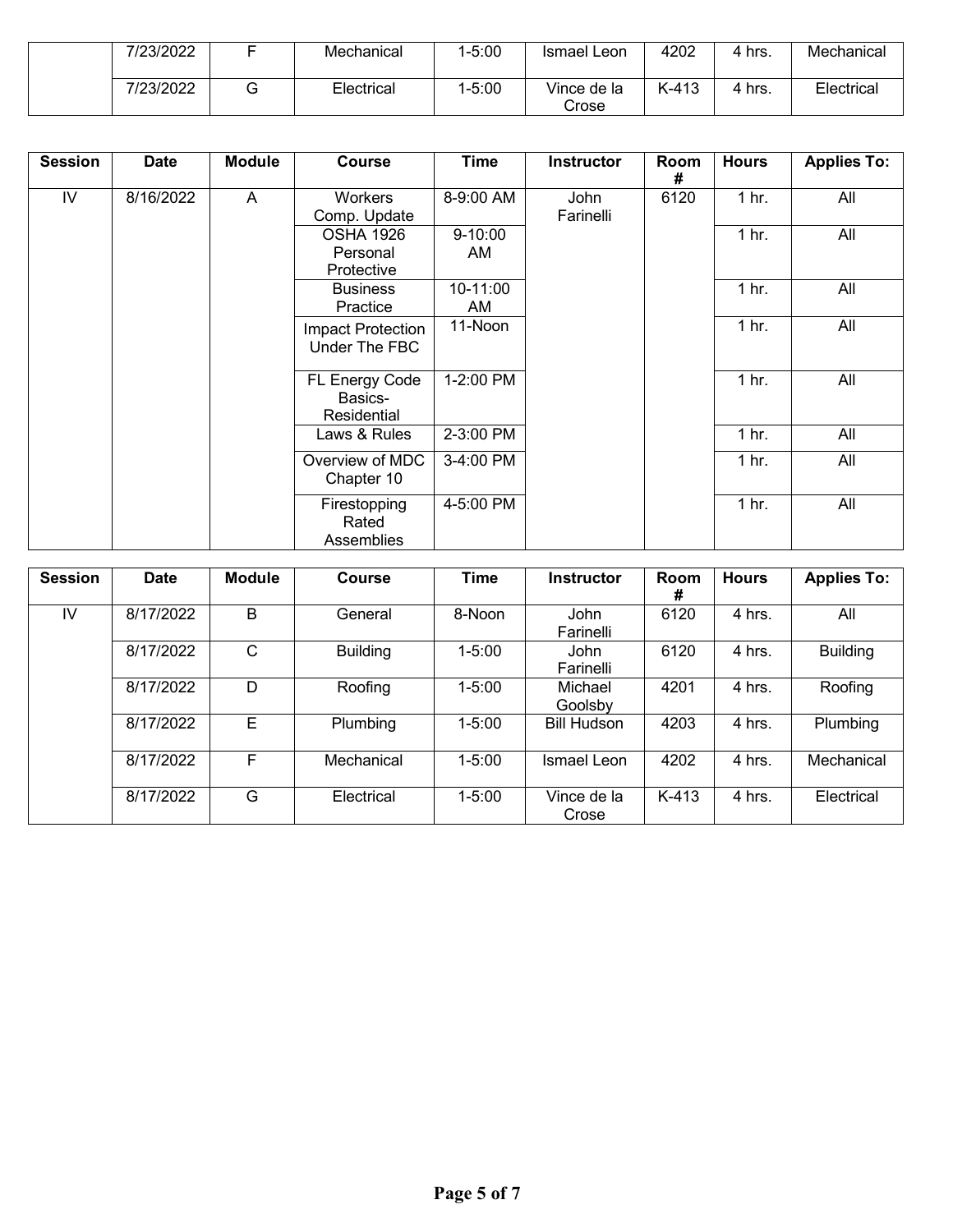| 7/23/2022 | Mechanical | :5:00-، | Ismael Leon          | 4202    | hrs. | Mechanical |
|-----------|------------|---------|----------------------|---------|------|------------|
| 7/23/2022 | Electrical | .5:00   | Vince de la<br>Crose | $K-413$ | hrs. | Electrical |

| <b>Session</b> | <b>Date</b> | <b>Module</b> | <b>Course</b>                              | Time              | Instructor        | Room<br># | <b>Hours</b>     | <b>Applies To:</b> |
|----------------|-------------|---------------|--------------------------------------------|-------------------|-------------------|-----------|------------------|--------------------|
| IV             | 8/16/2022   | A             | Workers<br>Comp. Update                    | 8-9:00 AM         | John<br>Farinelli | 6120      | 1 <sub>hr.</sub> | All                |
|                |             |               | <b>OSHA 1926</b><br>Personal<br>Protective | $9 - 10:00$<br>AM |                   |           | 1 <sub>hr.</sub> | All                |
|                |             |               | <b>Business</b><br>Practice                | 10-11:00<br>AM    |                   |           | 1 <sub>hr.</sub> | All                |
|                |             |               | Impact Protection<br>Under The FBC         | 11-Noon           |                   |           | 1 <sub>hr.</sub> | All                |
|                |             |               | FL Energy Code<br>Basics-<br>Residential   | 1-2:00 PM         |                   |           | 1 <sub>hr.</sub> | All                |
|                |             |               | Laws & Rules                               | 2-3:00 PM         |                   |           | 1 <sub>hr.</sub> | All                |
|                |             |               | Overview of MDC<br>Chapter 10              | 3-4:00 PM         |                   |           | 1 <sub>hr.</sub> | All                |
|                |             |               | Firestopping<br>Rated<br>Assemblies        | 4-5:00 PM         |                   |           | 1 <sub>hr.</sub> | All                |

| <b>Session</b> | <b>Date</b> | <b>Module</b> | <b>Course</b>   | <b>Time</b> | <b>Instructor</b>        | Room<br># | <b>Hours</b> | <b>Applies To:</b> |
|----------------|-------------|---------------|-----------------|-------------|--------------------------|-----------|--------------|--------------------|
| IV             | 8/17/2022   | B             | General         | 8-Noon      | <b>John</b><br>Farinelli | 6120      | 4 hrs.       | All                |
|                | 8/17/2022   | C             | <b>Building</b> | $1 - 5:00$  | John<br>Farinelli        | 6120      | 4 hrs.       | <b>Building</b>    |
|                | 8/17/2022   | D             | Roofing         | $1 - 5:00$  | Michael<br>Goolsby       | 4201      | 4 hrs.       | Roofing            |
|                | 8/17/2022   | Е             | Plumbing        | $1 - 5:00$  | <b>Bill Hudson</b>       | 4203      | 4 hrs.       | Plumbing           |
|                | 8/17/2022   | F             | Mechanical      | $1 - 5:00$  | Ismael Leon              | 4202      | 4 hrs.       | Mechanical         |
|                | 8/17/2022   | G             | Electrical      | $1 - 5:00$  | Vince de la<br>Crose     | K-413     | 4 hrs.       | Electrical         |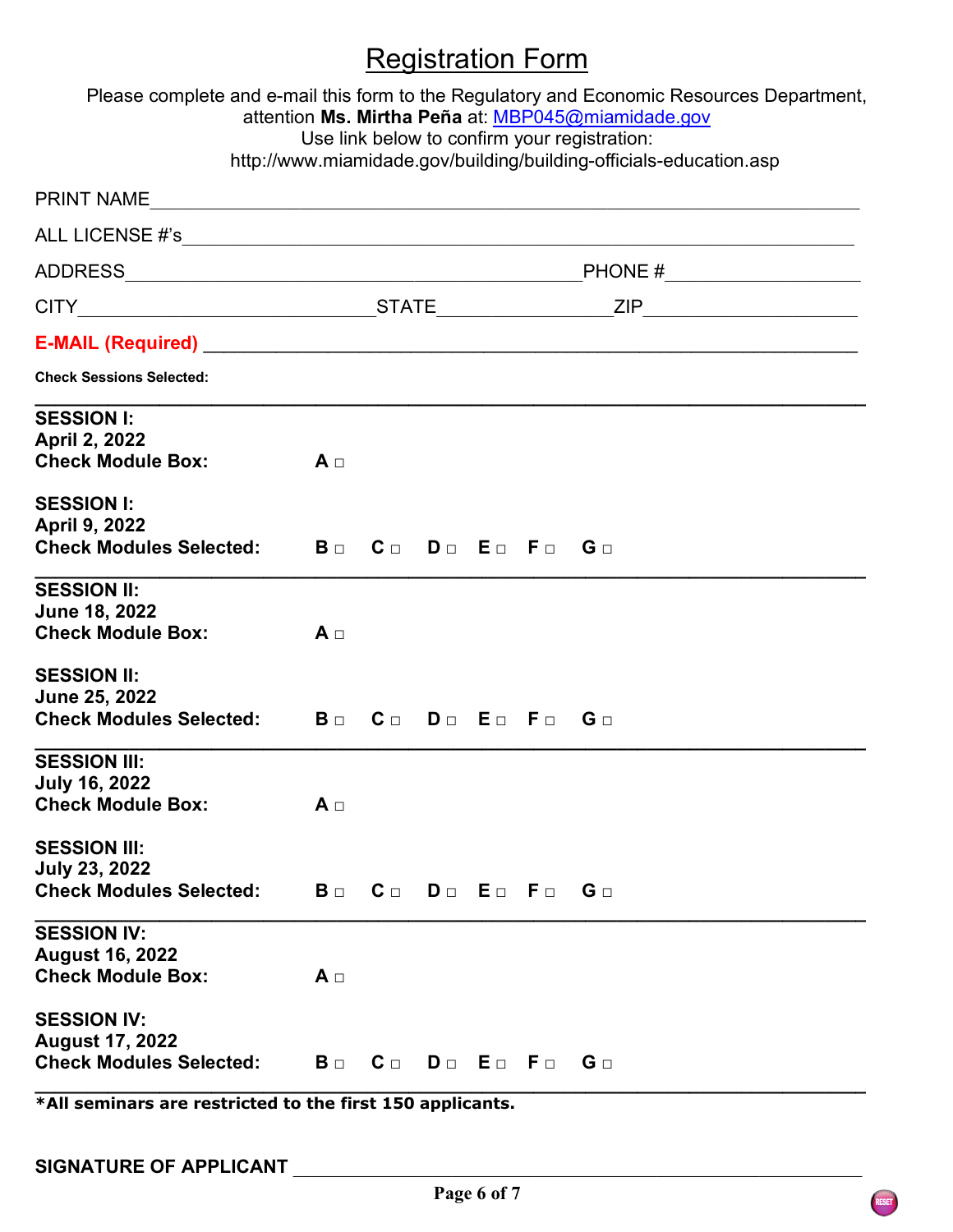# Registration Form

|                                                                                | Use link below to confirm your registration: | Please complete and e-mail this form to the Regulatory and Economic Resources Department,<br>attention Ms. Mirtha Peña at: MBP045@miamidade.gov<br>http://www.miamidade.gov/building/building-officials-education.asp |  |
|--------------------------------------------------------------------------------|----------------------------------------------|-----------------------------------------------------------------------------------------------------------------------------------------------------------------------------------------------------------------------|--|
|                                                                                |                                              |                                                                                                                                                                                                                       |  |
|                                                                                |                                              |                                                                                                                                                                                                                       |  |
|                                                                                |                                              |                                                                                                                                                                                                                       |  |
|                                                                                |                                              |                                                                                                                                                                                                                       |  |
|                                                                                |                                              |                                                                                                                                                                                                                       |  |
| <b>Check Sessions Selected:</b>                                                |                                              |                                                                                                                                                                                                                       |  |
| <b>SESSION I:</b><br><b>April 2, 2022</b><br><b>Check Module Box:</b>          | $A \Box$                                     |                                                                                                                                                                                                                       |  |
| <b>SESSION I:</b><br>April 9, 2022<br><b>Check Modules Selected:</b>           | Bo Co Do Eo Fo Go                            |                                                                                                                                                                                                                       |  |
| <b>SESSION II:</b><br><b>June 18, 2022</b><br><b>Check Module Box:</b>         | $A \Box$                                     |                                                                                                                                                                                                                       |  |
| <b>SESSION II:</b><br>June 25, 2022<br><b>Check Modules Selected:</b>          | Bo Co Do Eo Fo Go                            |                                                                                                                                                                                                                       |  |
| <b>SESSION III:</b><br><b>July 16, 2022</b><br><b>Check Module Box:</b>        | $A \sqcap$                                   |                                                                                                                                                                                                                       |  |
| <b>SESSION III:</b><br><b>July 23, 2022</b><br><b>Check Modules Selected:</b>  | Bo Co Do Eo Fo Go                            |                                                                                                                                                                                                                       |  |
| <b>SESSION IV:</b><br><b>August 16, 2022</b><br><b>Check Module Box:</b>       | $A \Box$                                     |                                                                                                                                                                                                                       |  |
| <b>SESSION IV:</b><br><b>August 17, 2022</b><br><b>Check Modules Selected:</b> | Bo Co Do Eo Fo Go                            |                                                                                                                                                                                                                       |  |

**\*All seminars are restricted to the first 150 applicants.**